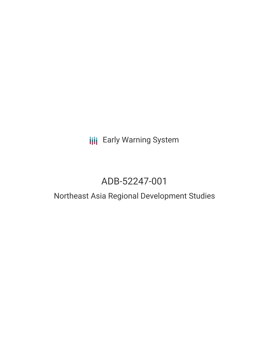# **III** Early Warning System

# ADB-52247-001

# Northeast Asia Regional Development Studies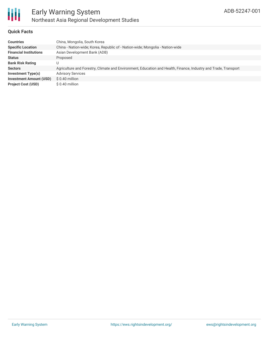

### **Quick Facts**

| <b>Countries</b>               | China, Mongolia, South Korea                                                                                    |
|--------------------------------|-----------------------------------------------------------------------------------------------------------------|
| <b>Specific Location</b>       | China - Nation-wide; Korea, Republic of - Nation-wide; Mongolia - Nation-wide                                   |
| <b>Financial Institutions</b>  | Asian Development Bank (ADB)                                                                                    |
| <b>Status</b>                  | Proposed                                                                                                        |
| <b>Bank Risk Rating</b>        |                                                                                                                 |
| <b>Sectors</b>                 | Agriculture and Forestry, Climate and Environment, Education and Health, Finance, Industry and Trade, Transport |
| Investment Type(s)             | <b>Advisory Services</b>                                                                                        |
| <b>Investment Amount (USD)</b> | $$0.40$ million                                                                                                 |
| <b>Project Cost (USD)</b>      | \$0.40 million                                                                                                  |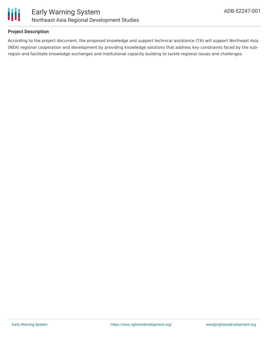

### **Project Description**

According to the project document, the proposed knowledge and support technical assistance (TA) will support Northeast Asia (NEA) regional cooperation and development by providing knowledge solutions that address key constraints faced by the subregion and facilitate knowledge exchanges and institutional capacity building to tackle regional issues and challenges.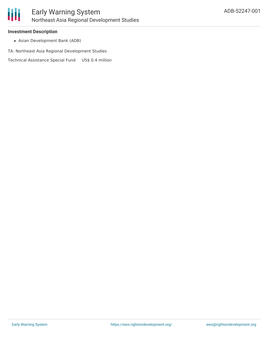

#### **Investment Description**

Asian Development Bank (ADB)

TA: Northeast Asia Regional Development Studies

Technical Assistance Special Fund US\$ 0.4 million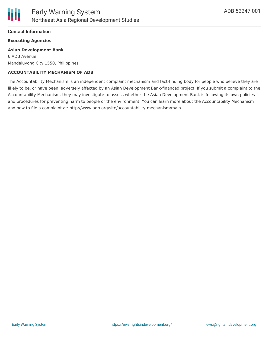

#### **Contact Information**

#### **Executing Agencies**

#### **Asian Development Bank**

6 ADB Avenue, Mandaluyong City 1550, Philippines

#### **ACCOUNTABILITY MECHANISM OF ADB**

The Accountability Mechanism is an independent complaint mechanism and fact-finding body for people who believe they are likely to be, or have been, adversely affected by an Asian Development Bank-financed project. If you submit a complaint to the Accountability Mechanism, they may investigate to assess whether the Asian Development Bank is following its own policies and procedures for preventing harm to people or the environment. You can learn more about the Accountability Mechanism and how to file a complaint at: http://www.adb.org/site/accountability-mechanism/main